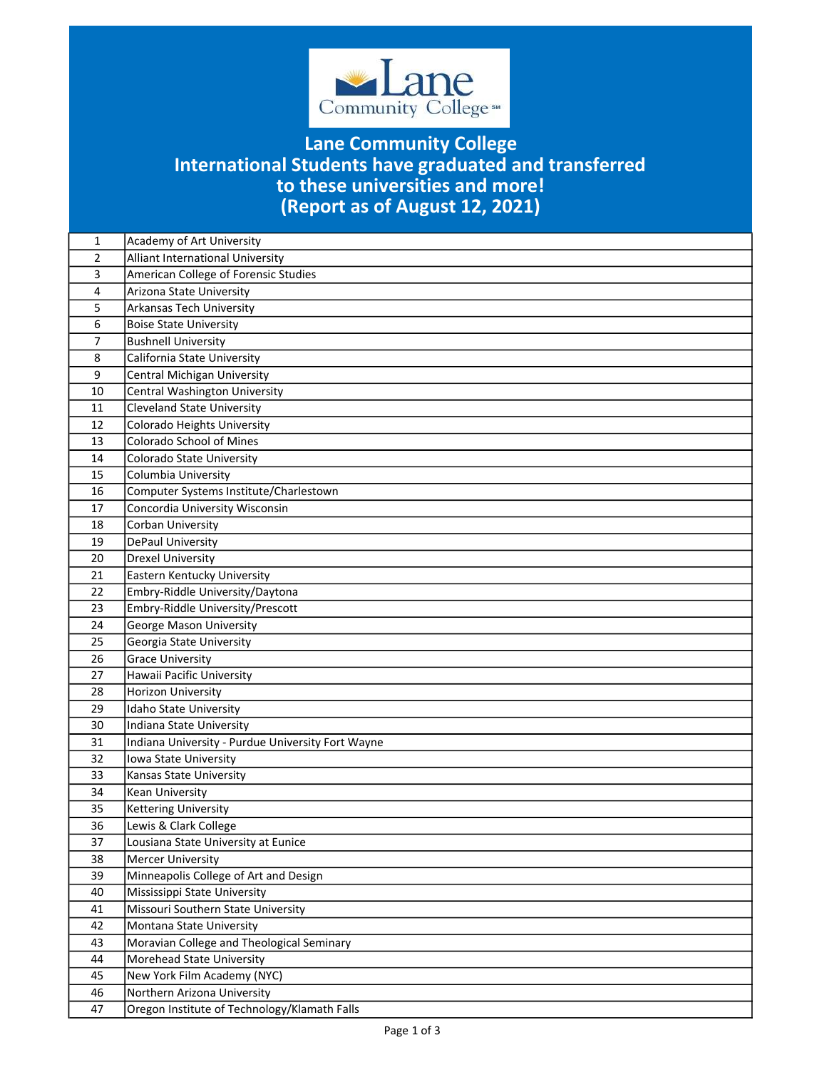

## (Report as of August 12, 2021) Lane Community College International Students have graduated and transferred to these universities and more!

| 1              | Academy of Art University                         |
|----------------|---------------------------------------------------|
| $\overline{2}$ | <b>Alliant International University</b>           |
| 3              | American College of Forensic Studies              |
| 4              | Arizona State University                          |
| 5              | Arkansas Tech University                          |
| 6              | <b>Boise State University</b>                     |
| $\overline{7}$ | <b>Bushnell University</b>                        |
| 8              | California State University                       |
| 9              | <b>Central Michigan University</b>                |
| 10             | Central Washington University                     |
| 11             | <b>Cleveland State University</b>                 |
| 12             | Colorado Heights University                       |
| 13             | <b>Colorado School of Mines</b>                   |
| 14             | Colorado State University                         |
| 15             | Columbia University                               |
| 16             | Computer Systems Institute/Charlestown            |
| 17             | Concordia University Wisconsin                    |
| 18             | Corban University                                 |
| 19             | DePaul University                                 |
| 20             | <b>Drexel University</b>                          |
| 21             | Eastern Kentucky University                       |
| 22             | Embry-Riddle University/Daytona                   |
| 23             | Embry-Riddle University/Prescott                  |
| 24             | <b>George Mason University</b>                    |
| 25             | Georgia State University                          |
| 26             | <b>Grace University</b>                           |
| 27             | Hawaii Pacific University                         |
| 28             | Horizon University                                |
| 29             | Idaho State University                            |
| 30             | Indiana State University                          |
| 31             | Indiana University - Purdue University Fort Wayne |
| 32             | Iowa State University                             |
| 33             | Kansas State University                           |
| 34             | Kean University                                   |
| 35             | Kettering University                              |
| 36             | Lewis & Clark College                             |
| 37             | Lousiana State University at Eunice               |
| 38             | <b>Mercer University</b>                          |
| 39             | Minneapolis College of Art and Design             |
| 40             | Mississippi State University                      |
| 41             | Missouri Southern State University                |
| 42             | Montana State University                          |
| 43             | Moravian College and Theological Seminary         |
| 44             | Morehead State University                         |
| 45             | New York Film Academy (NYC)                       |
| 46             | Northern Arizona University                       |
| 47             | Oregon Institute of Technology/Klamath Falls      |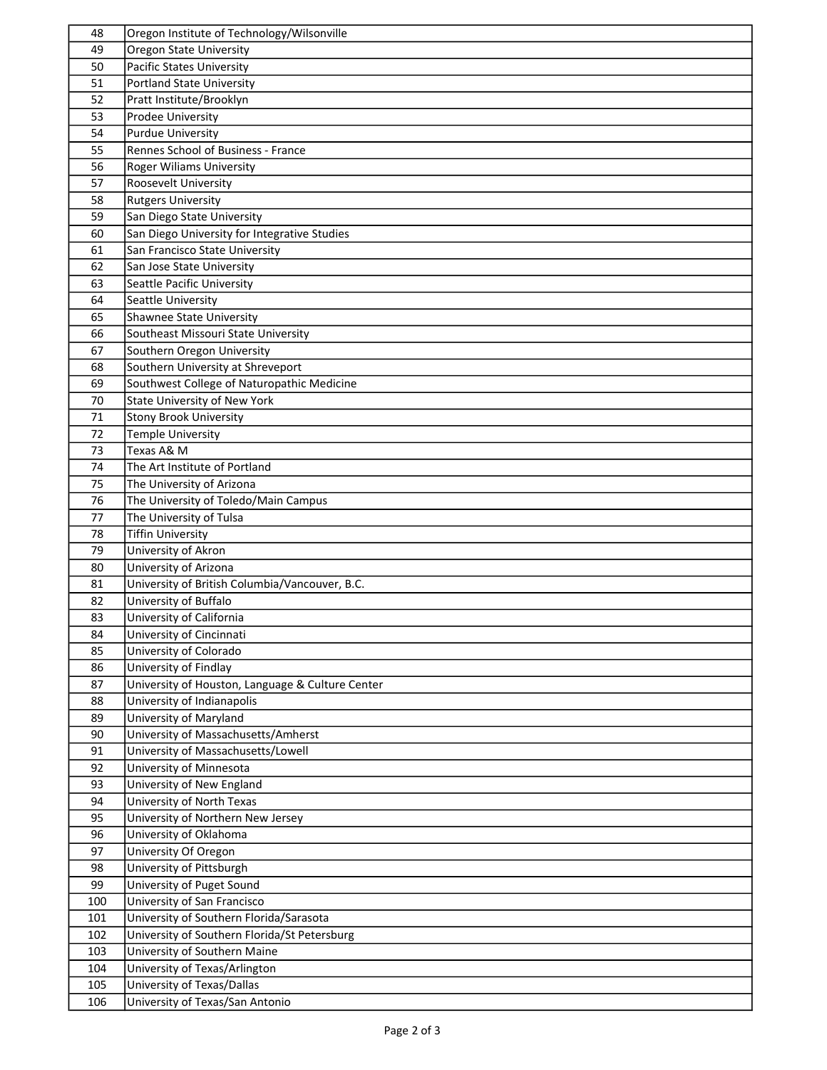| 48  | Oregon Institute of Technology/Wilsonville       |
|-----|--------------------------------------------------|
| 49  | <b>Oregon State University</b>                   |
| 50  | <b>Pacific States University</b>                 |
| 51  | Portland State University                        |
| 52  | Pratt Institute/Brooklyn                         |
| 53  | Prodee University                                |
| 54  | <b>Purdue University</b>                         |
| 55  | Rennes School of Business - France               |
| 56  | Roger Wiliams University                         |
| 57  | Roosevelt University                             |
|     |                                                  |
| 58  | <b>Rutgers University</b>                        |
| 59  | San Diego State University                       |
| 60  | San Diego University for Integrative Studies     |
| 61  | San Francisco State University                   |
| 62  | San Jose State University                        |
| 63  | Seattle Pacific University                       |
| 64  | Seattle University                               |
| 65  | Shawnee State University                         |
| 66  | Southeast Missouri State University              |
| 67  | Southern Oregon University                       |
| 68  | Southern University at Shreveport                |
| 69  | Southwest College of Naturopathic Medicine       |
| 70  | State University of New York                     |
| 71  | <b>Stony Brook University</b>                    |
| 72  | Temple University                                |
| 73  | Texas A& M                                       |
| 74  | The Art Institute of Portland                    |
| 75  | The University of Arizona                        |
| 76  | The University of Toledo/Main Campus             |
| 77  | The University of Tulsa                          |
| 78  | <b>Tiffin University</b>                         |
| 79  | University of Akron                              |
| 80  | University of Arizona                            |
| 81  | University of British Columbia/Vancouver, B.C.   |
| 82  | University of Buffalo                            |
| 83  | University of California                         |
|     |                                                  |
| 84  | University of Cincinnati                         |
| 85  | University of Colorado                           |
| 86  | University of Findlay                            |
| 87  | University of Houston, Language & Culture Center |
| 88  | University of Indianapolis                       |
| 89  | University of Maryland                           |
| 90  | University of Massachusetts/Amherst              |
| 91  | University of Massachusetts/Lowell               |
| 92  | University of Minnesota                          |
| 93  | University of New England                        |
| 94  | University of North Texas                        |
| 95  | University of Northern New Jersey                |
| 96  | University of Oklahoma                           |
| 97  | University Of Oregon                             |
| 98  | University of Pittsburgh                         |
| 99  | University of Puget Sound                        |
| 100 | University of San Francisco                      |
| 101 | University of Southern Florida/Sarasota          |
| 102 | University of Southern Florida/St Petersburg     |
| 103 | University of Southern Maine                     |
| 104 | University of Texas/Arlington                    |
| 105 | University of Texas/Dallas                       |
| 106 | University of Texas/San Antonio                  |
|     |                                                  |